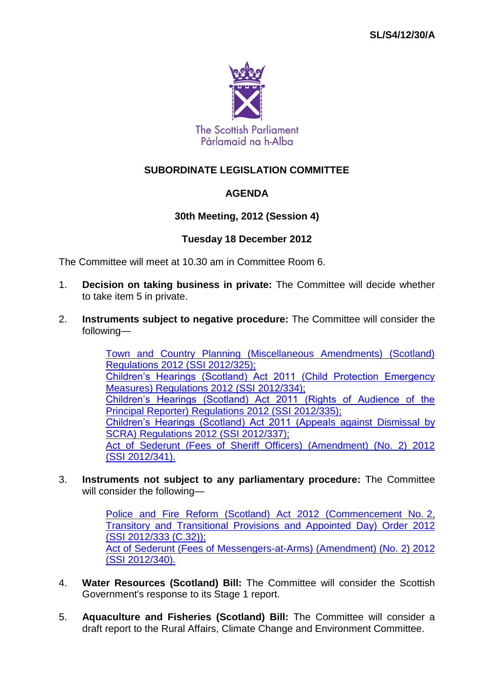

# **SUBORDINATE LEGISLATION COMMITTEE**

## **AGENDA**

## **30th Meeting, 2012 (Session 4)**

### **Tuesday 18 December 2012**

The Committee will meet at 10.30 am in Committee Room 6.

- 1. **Decision on taking business in private:** The Committee will decide whether to take item 5 in private.
- 2. **Instruments subject to negative procedure:** The Committee will consider the following—

[Town and Country Planning \(Miscellaneous Amendments\) \(Scotland\)](http://www.legislation.gov.uk/ssi/2012/325/contents/made)  [Regulations 2012 \(SSI](http://www.legislation.gov.uk/ssi/2012/325/contents/made) 2012/325); [Children's Hearings \(Scotland\) Act 2011 \(Child Protection Emergency](http://www.legislation.gov.uk/ssi/2012/334/contents/made)  [Measures\) Regulations 2012 \(SSI](http://www.legislation.gov.uk/ssi/2012/334/contents/made) 2012/334); [Children's Hearings \(Scotland\) Act 2011 \(Rights of Audience of the](http://www.legislation.gov.uk/ssi/2012/335/contents/made)  [Principal Reporter\) Regulations 2012 \(SSI](http://www.legislation.gov.uk/ssi/2012/335/contents/made) 2012/335); [Children's Hearings \(Scotland\) Act 2011 \(Appeals against Dismissal by](http://www.legislation.gov.uk/ssi/2012/337/contents/made)  [SCRA\) Regulations 2012 \(SSI](http://www.legislation.gov.uk/ssi/2012/337/contents/made) 2012/337); [Act of Sederunt \(Fees of Sheriff Officers\) \(Amendment\) \(No. 2\) 2012](http://www.legislation.gov.uk/ssi/2012/341/contents/made)  (SSI [2012/341\).](http://www.legislation.gov.uk/ssi/2012/341/contents/made)

3. **Instruments not subject to any parliamentary procedure:** The Committee will consider the following—

> [Police and Fire Reform \(Scotland\) Act 2012 \(Commencement No.](http://www.legislation.gov.uk/ssi/2012/333/contents/made) 2, [Transitory and Transitional Provisions and Appointed Day\) Order 2012](http://www.legislation.gov.uk/ssi/2012/333/contents/made)  (SSI [2012/333 \(C.32\)\);](http://www.legislation.gov.uk/ssi/2012/333/contents/made) [Act of Sederunt \(Fees of Messengers-at-Arms\) \(Amendment\) \(No. 2\) 2012](http://www.legislation.gov.uk/ssi/2012/340/contents/made)  (SSI [2012/340\).](http://www.legislation.gov.uk/ssi/2012/340/contents/made)

- 4. **Water Resources (Scotland) Bill:** The Committee will consider the Scottish Government's response to its Stage 1 report.
- 5. **Aquaculture and Fisheries (Scotland) Bill:** The Committee will consider a draft report to the Rural Affairs, Climate Change and Environment Committee.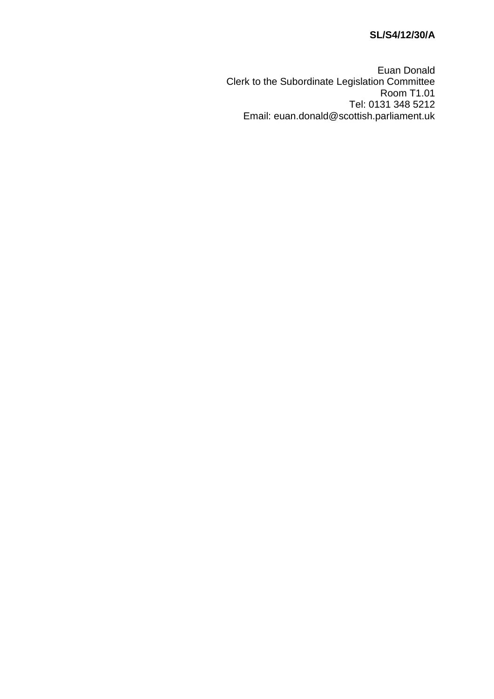# **SL/S4/12/30/A**

Euan Donald Clerk to the Subordinate Legislation Committee Room T1.01 Tel: 0131 348 5212 Email: euan.donald@scottish.parliament.uk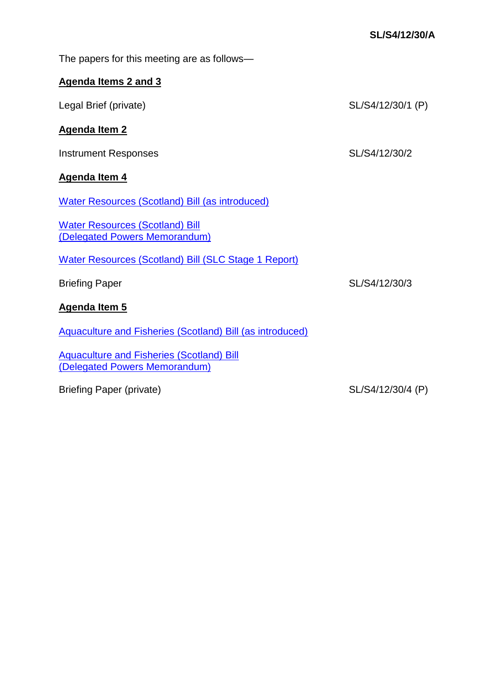| The papers for this meeting are as follows—                                       |                   |
|-----------------------------------------------------------------------------------|-------------------|
| <b>Agenda Items 2 and 3</b>                                                       |                   |
| Legal Brief (private)                                                             | SL/S4/12/30/1 (P) |
| <b>Agenda Item 2</b>                                                              |                   |
| <b>Instrument Responses</b>                                                       | SL/S4/12/30/2     |
| <b>Agenda Item 4</b>                                                              |                   |
| <b>Water Resources (Scotland) Bill (as introduced)</b>                            |                   |
| <b>Water Resources (Scotland) Bill</b><br>(Delegated Powers Memorandum)           |                   |
| <b>Water Resources (Scotland) Bill (SLC Stage 1 Report)</b>                       |                   |
| <b>Briefing Paper</b>                                                             | SL/S4/12/30/3     |
| <b>Agenda Item 5</b>                                                              |                   |
| <b>Aquaculture and Fisheries (Scotland) Bill (as introduced)</b>                  |                   |
| <b>Aquaculture and Fisheries (Scotland) Bill</b><br>(Delegated Powers Memorandum) |                   |

Briefing Paper (private) SL/S4/12/30/4 (P)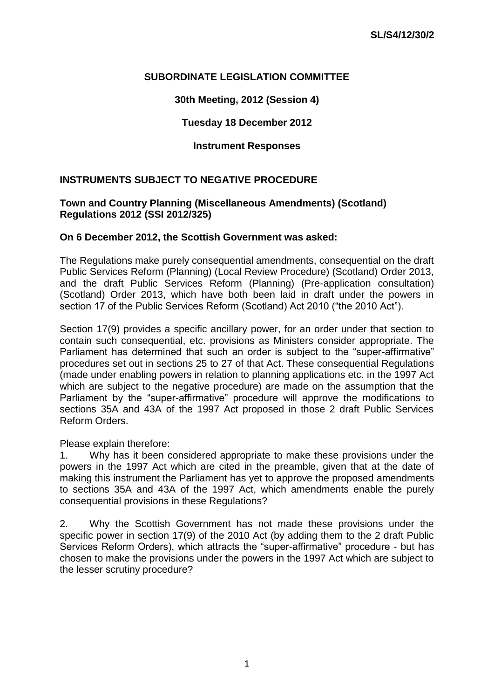### **SUBORDINATE LEGISLATION COMMITTEE**

**30th Meeting, 2012 (Session 4)**

## **Tuesday 18 December 2012**

### **Instrument Responses**

## **INSTRUMENTS SUBJECT TO NEGATIVE PROCEDURE**

#### **Town and Country Planning (Miscellaneous Amendments) (Scotland) Regulations 2012 (SSI 2012/325)**

#### **On 6 December 2012, the Scottish Government was asked:**

The Regulations make purely consequential amendments, consequential on the draft Public Services Reform (Planning) (Local Review Procedure) (Scotland) Order 2013, and the draft Public Services Reform (Planning) (Pre-application consultation) (Scotland) Order 2013, which have both been laid in draft under the powers in section 17 of the Public Services Reform (Scotland) Act 2010 ("the 2010 Act").

Section 17(9) provides a specific ancillary power, for an order under that section to contain such consequential, etc. provisions as Ministers consider appropriate. The Parliament has determined that such an order is subject to the "super-affirmative" procedures set out in sections 25 to 27 of that Act. These consequential Regulations (made under enabling powers in relation to planning applications etc. in the 1997 Act which are subject to the negative procedure) are made on the assumption that the Parliament by the "super-affirmative" procedure will approve the modifications to sections 35A and 43A of the 1997 Act proposed in those 2 draft Public Services Reform Orders.

Please explain therefore:

1. Why has it been considered appropriate to make these provisions under the powers in the 1997 Act which are cited in the preamble, given that at the date of making this instrument the Parliament has yet to approve the proposed amendments to sections 35A and 43A of the 1997 Act, which amendments enable the purely consequential provisions in these Regulations?

2. Why the Scottish Government has not made these provisions under the specific power in section 17(9) of the 2010 Act (by adding them to the 2 draft Public Services Reform Orders), which attracts the "super-affirmative" procedure - but has chosen to make the provisions under the powers in the 1997 Act which are subject to the lesser scrutiny procedure?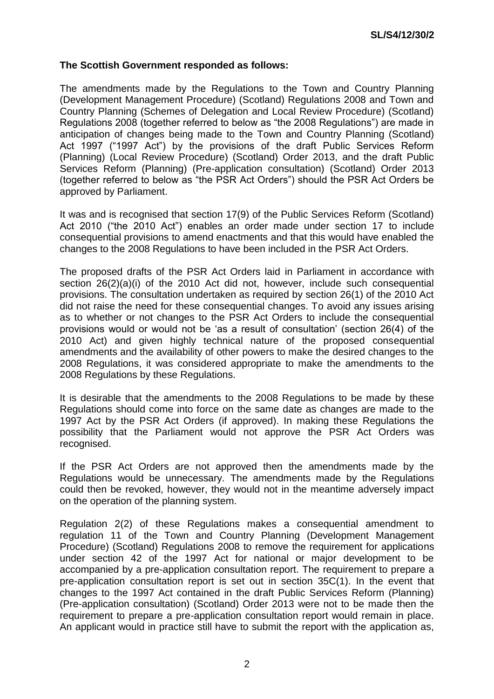### **The Scottish Government responded as follows:**

The amendments made by the Regulations to the Town and Country Planning (Development Management Procedure) (Scotland) Regulations 2008 and Town and Country Planning (Schemes of Delegation and Local Review Procedure) (Scotland) Regulations 2008 (together referred to below as "the 2008 Regulations") are made in anticipation of changes being made to the Town and Country Planning (Scotland) Act 1997 ("1997 Act") by the provisions of the draft Public Services Reform (Planning) (Local Review Procedure) (Scotland) Order 2013, and the draft Public Services Reform (Planning) (Pre-application consultation) (Scotland) Order 2013 (together referred to below as "the PSR Act Orders") should the PSR Act Orders be approved by Parliament.

It was and is recognised that section 17(9) of the Public Services Reform (Scotland) Act 2010 ("the 2010 Act") enables an order made under section 17 to include consequential provisions to amend enactments and that this would have enabled the changes to the 2008 Regulations to have been included in the PSR Act Orders.

The proposed drafts of the PSR Act Orders laid in Parliament in accordance with section 26(2)(a)(i) of the 2010 Act did not, however, include such consequential provisions. The consultation undertaken as required by section 26(1) of the 2010 Act did not raise the need for these consequential changes. To avoid any issues arising as to whether or not changes to the PSR Act Orders to include the consequential provisions would or would not be 'as a result of consultation' (section 26(4) of the 2010 Act) and given highly technical nature of the proposed consequential amendments and the availability of other powers to make the desired changes to the 2008 Regulations, it was considered appropriate to make the amendments to the 2008 Regulations by these Regulations.

It is desirable that the amendments to the 2008 Regulations to be made by these Regulations should come into force on the same date as changes are made to the 1997 Act by the PSR Act Orders (if approved). In making these Regulations the possibility that the Parliament would not approve the PSR Act Orders was recognised.

If the PSR Act Orders are not approved then the amendments made by the Regulations would be unnecessary. The amendments made by the Regulations could then be revoked, however, they would not in the meantime adversely impact on the operation of the planning system.

Regulation 2(2) of these Regulations makes a consequential amendment to regulation 11 of the Town and Country Planning (Development Management Procedure) (Scotland) Regulations 2008 to remove the requirement for applications under section 42 of the 1997 Act for national or major development to be accompanied by a pre-application consultation report. The requirement to prepare a pre-application consultation report is set out in section 35C(1). In the event that changes to the 1997 Act contained in the draft Public Services Reform (Planning) (Pre-application consultation) (Scotland) Order 2013 were not to be made then the requirement to prepare a pre-application consultation report would remain in place. An applicant would in practice still have to submit the report with the application as,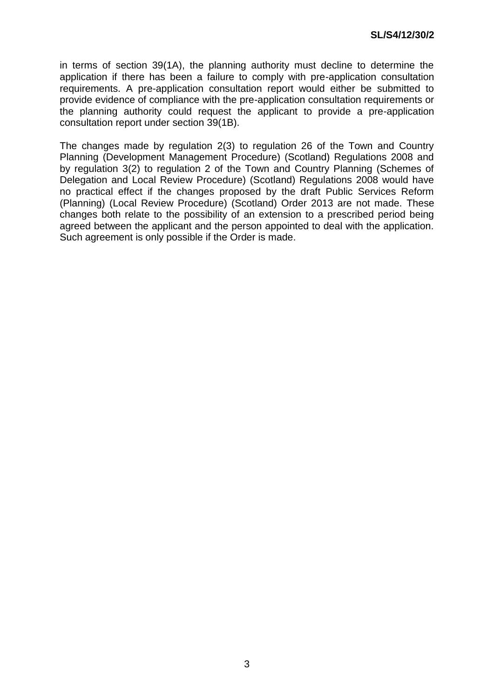in terms of section 39(1A), the planning authority must decline to determine the application if there has been a failure to comply with pre-application consultation requirements. A pre-application consultation report would either be submitted to provide evidence of compliance with the pre-application consultation requirements or the planning authority could request the applicant to provide a pre-application consultation report under section 39(1B).

The changes made by regulation 2(3) to regulation 26 of the Town and Country Planning (Development Management Procedure) (Scotland) Regulations 2008 and by regulation 3(2) to regulation 2 of the Town and Country Planning (Schemes of Delegation and Local Review Procedure) (Scotland) Regulations 2008 would have no practical effect if the changes proposed by the draft Public Services Reform (Planning) (Local Review Procedure) (Scotland) Order 2013 are not made. These changes both relate to the possibility of an extension to a prescribed period being agreed between the applicant and the person appointed to deal with the application. Such agreement is only possible if the Order is made.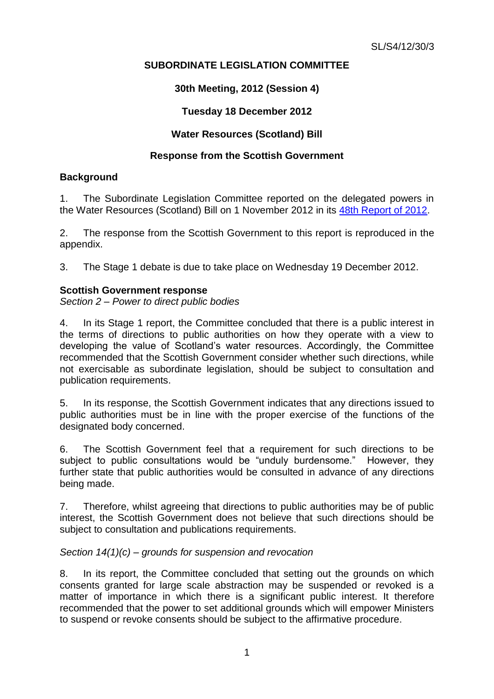# **SUBORDINATE LEGISLATION COMMITTEE**

# **30th Meeting, 2012 (Session 4)**

# **Tuesday 18 December 2012**

# **Water Resources (Scotland) Bill**

## **Response from the Scottish Government**

## **Background**

1. The Subordinate Legislation Committee reported on the delegated powers in the Water Resources (Scotland) Bill on 1 November 2012 in its [48th Report of 2012.](http://www.scottish.parliament.uk/parliamentarybusiness/CurrentCommittees/56165.aspx)

2. The response from the Scottish Government to this report is reproduced in the appendix.

3. The Stage 1 debate is due to take place on Wednesday 19 December 2012.

### **Scottish Government response**

*Section 2 – Power to direct public bodies*

4. In its Stage 1 report, the Committee concluded that there is a public interest in the terms of directions to public authorities on how they operate with a view to developing the value of Scotland's water resources. Accordingly, the Committee recommended that the Scottish Government consider whether such directions, while not exercisable as subordinate legislation, should be subject to consultation and publication requirements.

5. In its response, the Scottish Government indicates that any directions issued to public authorities must be in line with the proper exercise of the functions of the designated body concerned.

6. The Scottish Government feel that a requirement for such directions to be subject to public consultations would be "unduly burdensome." However, they further state that public authorities would be consulted in advance of any directions being made.

7. Therefore, whilst agreeing that directions to public authorities may be of public interest, the Scottish Government does not believe that such directions should be subject to consultation and publications requirements.

## *Section 14(1)(c) – grounds for suspension and revocation*

8. In its report, the Committee concluded that setting out the grounds on which consents granted for large scale abstraction may be suspended or revoked is a matter of importance in which there is a significant public interest. It therefore recommended that the power to set additional grounds which will empower Ministers to suspend or revoke consents should be subject to the affirmative procedure.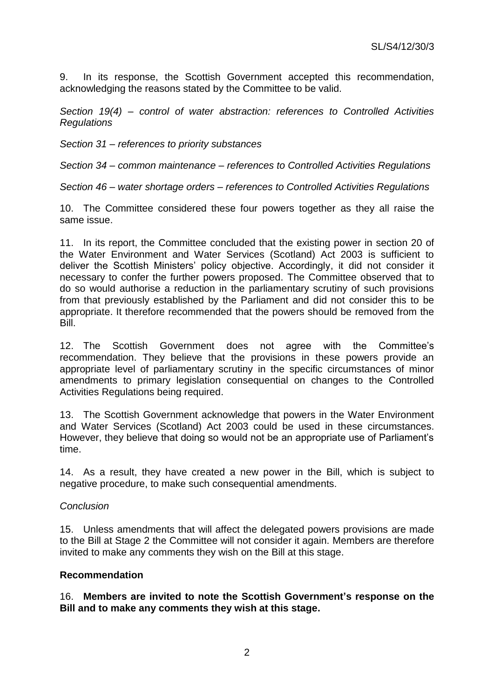9. In its response, the Scottish Government accepted this recommendation, acknowledging the reasons stated by the Committee to be valid.

*Section 19(4) – control of water abstraction: references to Controlled Activities Regulations*

*Section 31 – references to priority substances*

*Section 34 – common maintenance – references to Controlled Activities Regulations*

*Section 46 – water shortage orders – references to Controlled Activities Regulations*

10. The Committee considered these four powers together as they all raise the same issue.

11. In its report, the Committee concluded that the existing power in section 20 of the Water Environment and Water Services (Scotland) Act 2003 is sufficient to deliver the Scottish Ministers' policy objective. Accordingly, it did not consider it necessary to confer the further powers proposed. The Committee observed that to do so would authorise a reduction in the parliamentary scrutiny of such provisions from that previously established by the Parliament and did not consider this to be appropriate. It therefore recommended that the powers should be removed from the Bill.

12. The Scottish Government does not agree with the Committee's recommendation. They believe that the provisions in these powers provide an appropriate level of parliamentary scrutiny in the specific circumstances of minor amendments to primary legislation consequential on changes to the Controlled Activities Regulations being required.

13. The Scottish Government acknowledge that powers in the Water Environment and Water Services (Scotland) Act 2003 could be used in these circumstances. However, they believe that doing so would not be an appropriate use of Parliament's time.

14. As a result, they have created a new power in the Bill, which is subject to negative procedure, to make such consequential amendments.

#### *Conclusion*

15. Unless amendments that will affect the delegated powers provisions are made to the Bill at Stage 2 the Committee will not consider it again. Members are therefore invited to make any comments they wish on the Bill at this stage.

#### **Recommendation**

16. **Members are invited to note the Scottish Government's response on the Bill and to make any comments they wish at this stage.**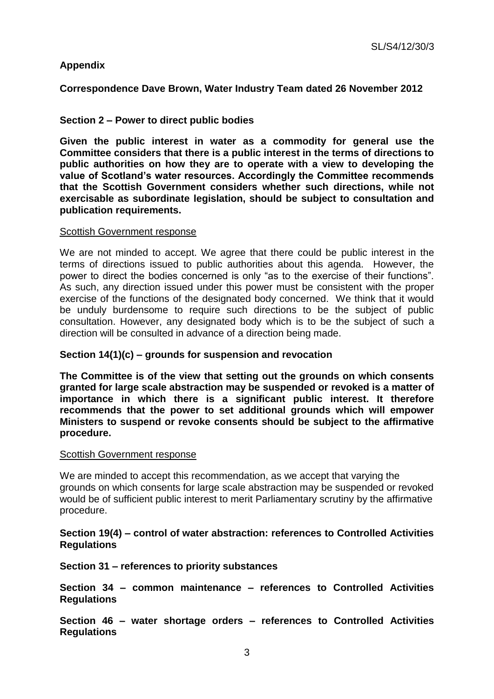## **Appendix**

**Correspondence Dave Brown, Water Industry Team dated 26 November 2012**

### **Section 2 – Power to direct public bodies**

**Given the public interest in water as a commodity for general use the Committee considers that there is a public interest in the terms of directions to public authorities on how they are to operate with a view to developing the value of Scotland's water resources. Accordingly the Committee recommends that the Scottish Government considers whether such directions, while not exercisable as subordinate legislation, should be subject to consultation and publication requirements.**

#### Scottish Government response

We are not minded to accept. We agree that there could be public interest in the terms of directions issued to public authorities about this agenda. However, the power to direct the bodies concerned is only "as to the exercise of their functions". As such, any direction issued under this power must be consistent with the proper exercise of the functions of the designated body concerned. We think that it would be unduly burdensome to require such directions to be the subject of public consultation. However, any designated body which is to be the subject of such a direction will be consulted in advance of a direction being made.

### **Section 14(1)(c) – grounds for suspension and revocation**

**The Committee is of the view that setting out the grounds on which consents granted for large scale abstraction may be suspended or revoked is a matter of importance in which there is a significant public interest. It therefore recommends that the power to set additional grounds which will empower Ministers to suspend or revoke consents should be subject to the affirmative procedure.**

#### Scottish Government response

We are minded to accept this recommendation, as we accept that varying the grounds on which consents for large scale abstraction may be suspended or revoked would be of sufficient public interest to merit Parliamentary scrutiny by the affirmative procedure.

### **Section 19(4) – control of water abstraction: references to Controlled Activities Regulations**

### **Section 31 – references to priority substances**

**Section 34 – common maintenance – references to Controlled Activities Regulations**

**Section 46 – water shortage orders – references to Controlled Activities Regulations**